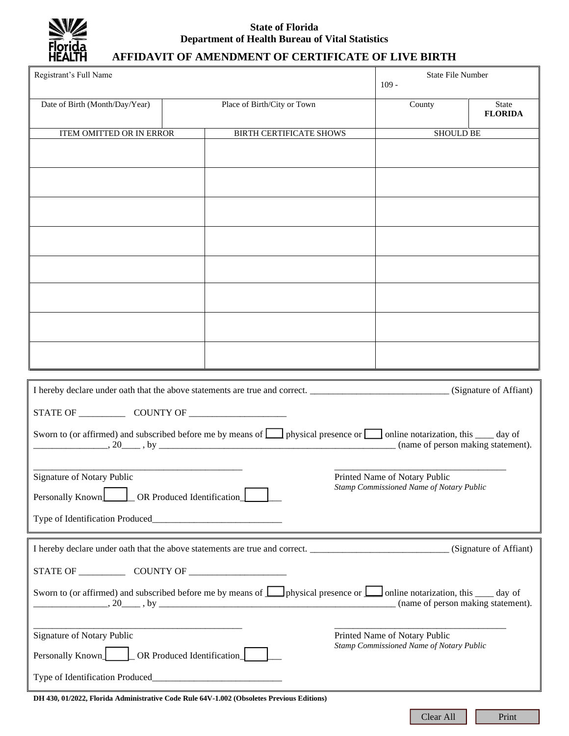

## **State of Florida Department of Health Bureau of Vital Statistics**

# **AFFIDAVIT OF AMENDMENT OF CERTIFICATE OF LIVE BIRTH**

| Registrant's Full Name                                                                                                                                                                                                                                                                                                                                                                                                       |                                |  |  | <b>State File Number</b><br>$109 -$                                       |                                |  |
|------------------------------------------------------------------------------------------------------------------------------------------------------------------------------------------------------------------------------------------------------------------------------------------------------------------------------------------------------------------------------------------------------------------------------|--------------------------------|--|--|---------------------------------------------------------------------------|--------------------------------|--|
| Date of Birth (Month/Day/Year)                                                                                                                                                                                                                                                                                                                                                                                               | Place of Birth/City or Town    |  |  | County                                                                    | <b>State</b><br><b>FLORIDA</b> |  |
| ITEM OMITTED OR IN ERROR                                                                                                                                                                                                                                                                                                                                                                                                     | <b>BIRTH CERTIFICATE SHOWS</b> |  |  | <b>SHOULD BE</b>                                                          |                                |  |
|                                                                                                                                                                                                                                                                                                                                                                                                                              |                                |  |  |                                                                           |                                |  |
|                                                                                                                                                                                                                                                                                                                                                                                                                              |                                |  |  |                                                                           |                                |  |
|                                                                                                                                                                                                                                                                                                                                                                                                                              |                                |  |  |                                                                           |                                |  |
|                                                                                                                                                                                                                                                                                                                                                                                                                              |                                |  |  |                                                                           |                                |  |
|                                                                                                                                                                                                                                                                                                                                                                                                                              |                                |  |  |                                                                           |                                |  |
|                                                                                                                                                                                                                                                                                                                                                                                                                              |                                |  |  |                                                                           |                                |  |
|                                                                                                                                                                                                                                                                                                                                                                                                                              |                                |  |  |                                                                           |                                |  |
|                                                                                                                                                                                                                                                                                                                                                                                                                              |                                |  |  |                                                                           |                                |  |
|                                                                                                                                                                                                                                                                                                                                                                                                                              |                                |  |  |                                                                           |                                |  |
| I hereby declare under oath that the above statements are true and correct. _________________________________(Signature of Affiant)                                                                                                                                                                                                                                                                                          |                                |  |  |                                                                           |                                |  |
|                                                                                                                                                                                                                                                                                                                                                                                                                              |                                |  |  |                                                                           |                                |  |
|                                                                                                                                                                                                                                                                                                                                                                                                                              |                                |  |  |                                                                           |                                |  |
| Sworn to (or affirmed) and subscribed before me by means of <b>I</b> physical presence or <b>I</b> online notarization, this <u>I</u> day of<br>(name of person making statement).<br>$\ldots$ , 20, by $\ldots$                                                                                                                                                                                                             |                                |  |  |                                                                           |                                |  |
|                                                                                                                                                                                                                                                                                                                                                                                                                              |                                |  |  |                                                                           |                                |  |
| Signature of Notary Public<br>Printed Name of Notary Public<br>Stamp Commissioned Name of Notary Public<br>Personally Known<br>OR Produced Identification                                                                                                                                                                                                                                                                    |                                |  |  |                                                                           |                                |  |
|                                                                                                                                                                                                                                                                                                                                                                                                                              |                                |  |  |                                                                           |                                |  |
|                                                                                                                                                                                                                                                                                                                                                                                                                              |                                |  |  |                                                                           |                                |  |
|                                                                                                                                                                                                                                                                                                                                                                                                                              |                                |  |  |                                                                           |                                |  |
|                                                                                                                                                                                                                                                                                                                                                                                                                              |                                |  |  |                                                                           |                                |  |
| Sworn to (or affirmed) and subscribed before me by means of <b>L</b> physical presence or <b>L</b> online notarization, this <u>see</u> day of<br>(name of person making statement).<br><u>20 https://www.archive.com/host.com/host.com/host.com/host.com/host.com/host.com/host.com/host.com/host.com/host.com/host.com/host.com/host.com/host.com/host.com/host.com/host.com/host.com/host.com/host.com/host.com/host.</u> |                                |  |  |                                                                           |                                |  |
|                                                                                                                                                                                                                                                                                                                                                                                                                              |                                |  |  |                                                                           |                                |  |
| Signature of Notary Public                                                                                                                                                                                                                                                                                                                                                                                                   |                                |  |  | Printed Name of Notary Public<br>Stamp Commissioned Name of Notary Public |                                |  |
| _OR Produced Identification_<br>Personally Known                                                                                                                                                                                                                                                                                                                                                                             |                                |  |  |                                                                           |                                |  |
|                                                                                                                                                                                                                                                                                                                                                                                                                              |                                |  |  |                                                                           |                                |  |
| DH 430, 01/2022, Florida Administrative Code Rule 64V-1.002 (Obsoletes Previous Editions)                                                                                                                                                                                                                                                                                                                                    |                                |  |  |                                                                           |                                |  |

Clear All Print